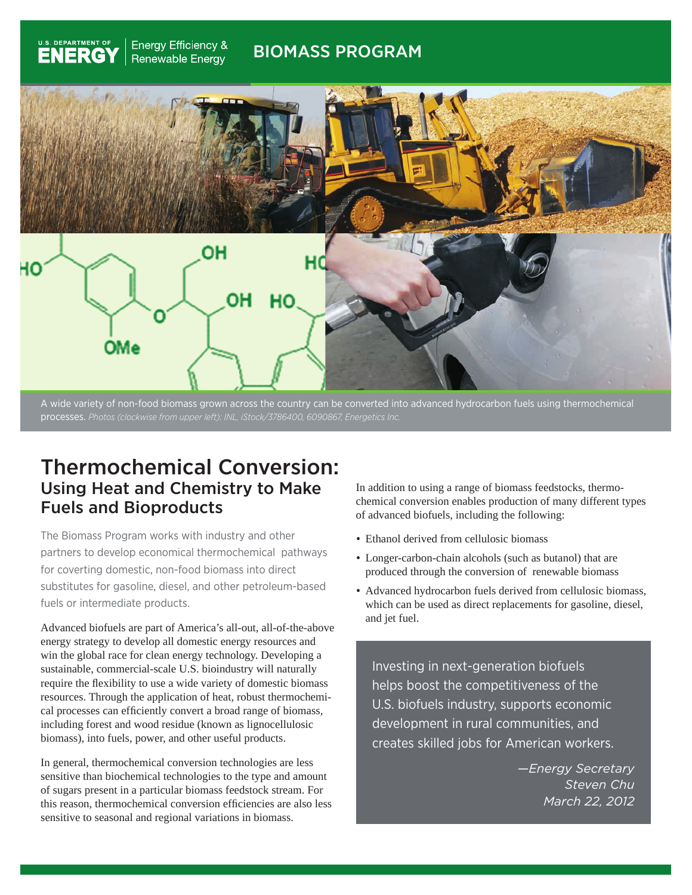## BIOMASS PROGRAM



A wide variety of non-food biomass grown across the country can be converted into advanced hydrocarbon fuels using thermochemical processes. *Photos (clockwise from upper left): INL, iStock/3786400, 6090867, Energetics Inc.* 

# Thermochemical Conversion: Using Heat and Chemistry to Make Fuels and Bioproducts

**Energy Efficiency &** 

**Renewable Energy** 

**U.S. DEPARTMENT OF** 

**ENERGY** 

The Biomass Program works with industry and other partners to develop economical thermochemical pathways for coverting domestic, non-food biomass into direct substitutes for gasoline, diesel, and other petroleum-based fuels or intermediate products.

Advanced biofuels are part of America's all-out, all-of-the-above energy strategy to develop all domestic energy resources and win the global race for clean energy technology. Developing a sustainable, commercial-scale U.S. bioindustry will naturally require the flexibility to use a wide variety of domestic biomass resources. Through the application of heat, robust thermochemical processes can efficiently convert a broad range of biomass, including forest and wood residue (known as lignocellulosic biomass), into fuels, power, and other useful products.

In general, thermochemical conversion technologies are less sensitive than biochemical technologies to the type and amount of sugars present in a particular biomass feedstock stream. For this reason, thermochemical conversion efficiencies are also less sensitive to seasonal and regional variations in biomass.

In addition to using a range of biomass feedstocks, thermochemical conversion enables production of many different types of advanced biofuels, including the following:

- Ethanol derived from cellulosic biomass
- Longer-carbon-chain alcohols (such as butanol) that are produced through the conversion of renewable biomass
- • Advanced hydrocarbon fuels derived from cellulosic biomass, which can be used as direct replacements for gasoline, diesel, and jet fuel.

Investing in next-generation biofuels helps boost the competitiveness of the U.S. biofuels industry, supports economic development in rural communities, and creates skilled jobs for American workers.

> *—Energy Secretary Steven Chu March 22, 2012*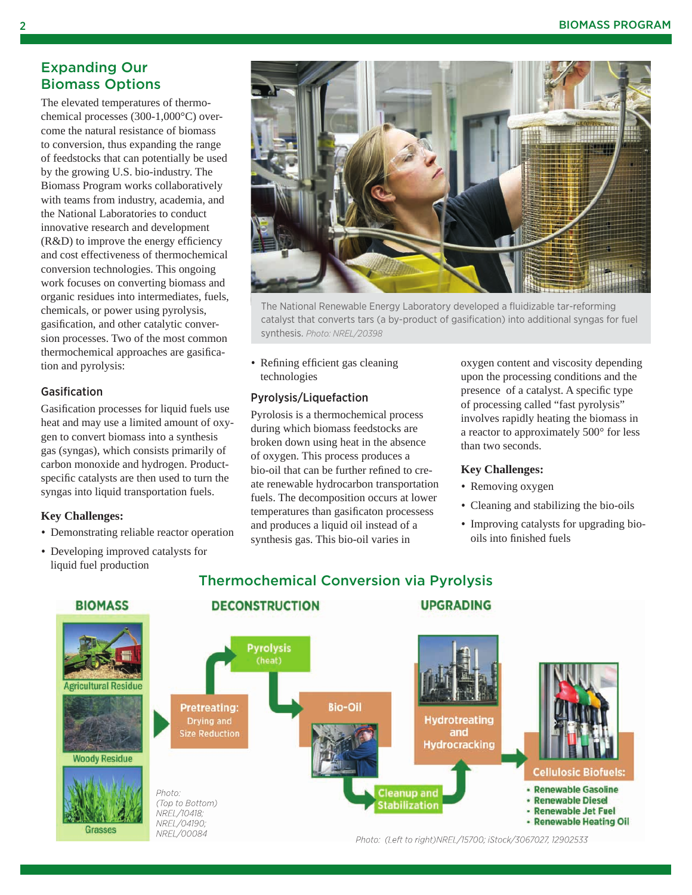#### Expanding Our Biomass Options

The elevated temperatures of thermochemical processes (300-1,000°C) overcome the natural resistance of biomass to conversion, thus expanding the range of feedstocks that can potentially be used by the growing U.S. bio-industry. The Biomass Program works collaboratively with teams from industry, academia, and the National Laboratories to conduct innovative research and development (R&D) to improve the energy efficiency and cost effectiveness of thermochemical conversion technologies. This ongoing work focuses on converting biomass and organic residues into intermediates, fuels, chemicals, or power using pyrolysis, gasification, and other catalytic conversion processes. Two of the most common thermochemical approaches are gasification and pyrolysis:

#### **Gasification**

Gasification processes for liquid fuels use heat and may use a limited amount of oxygen to convert biomass into a synthesis gas (syngas), which consists primarily of carbon monoxide and hydrogen. Productspecific catalysts are then used to turn the syngas into liquid transportation fuels.

#### **Key Challenges:**

- Demonstrating reliable reactor operation
- Developing improved catalysts for liquid fuel production



The National Renewable Energy Laboratory developed a fluidizable tar-reforming catalyst that converts tars (a by-product of gasification) into additional syngas for fuel synthesis. *Photo: NREL/20398* 

• Refining efficient gas cleaning technologies

#### Pyrolysis/Liquefaction

Pyrolosis is a thermochemical process during which biomass feedstocks are broken down using heat in the absence of oxygen. This process produces a bio-oil that can be further refined to create renewable hydrocarbon transportation fuels. The decomposition occurs at lower temperatures than gasificaton processess and produces a liquid oil instead of a synthesis gas. This bio-oil varies in

oxygen content and viscosity depending upon the processing conditions and the presence of a catalyst. A specific type of processing called "fast pyrolysis" involves rapidly heating the biomass in a reactor to approximately 500° for less than two seconds.

#### **Key Challenges:**

- Removing oxygen
- Cleaning and stabilizing the bio-oils
- Improving catalysts for upgrading biooils into finished fuels



#### Thermochemical Conversion via Pyrolysis

Photo: (Left to right)NREL/15700; iStock/3067027, 12902533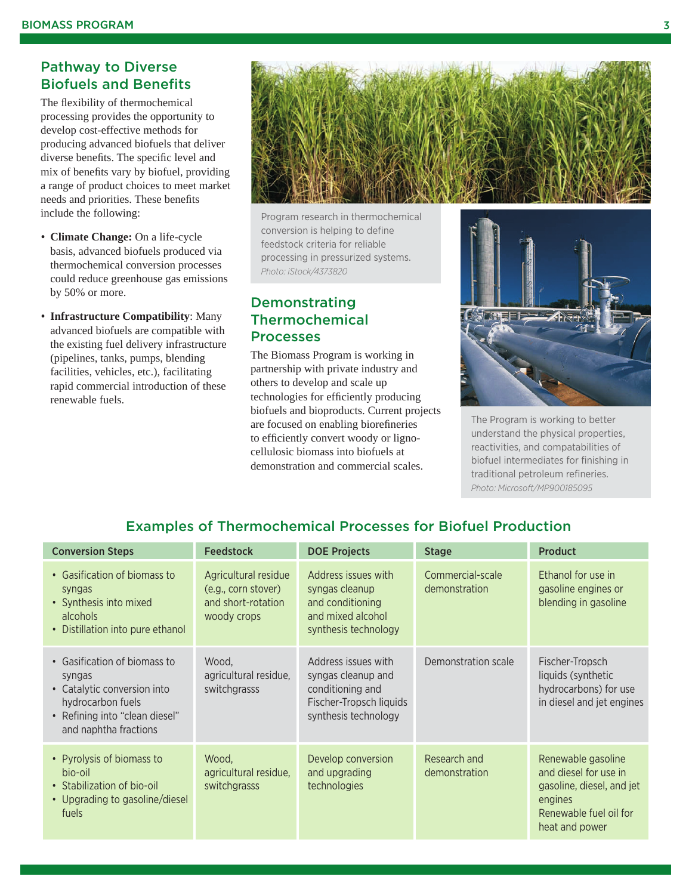#### Pathway to Diverse **Biofuels and Benefits**

The flexibility of thermochemical processing provides the opportunity to develop cost-effective methods for producing advanced biofuels that deliver diverse benefits. The specific level and mix of benefits vary by biofuel, providing a range of product choices to meet market needs and priorities. These benefits include the following:

- • **Climate Change:** On a life-cycle basis, advanced biofuels produced via thermochemical conversion processes could reduce greenhouse gas emissions by 50% or more.<br>
Demonstrating
- **Infrastructure Compatibility**: Many<br>advanced biofuels are compatible with advanced bioruels are compatible with **Processes**<br>the existing fuel delivery infrastructure The Biomass Program is working in (pipelines, tanks, pumps, blending The Biomass Program is working in facilities vehicles etc.) facilitating partnership with private industry and facilities, vehicles, etc.), facilitating partnership with private indust<br>rapid commercial introduction of these others to develop and scale up rapid commercial introduction of these renewable fuels. technologies for efficiently producing



Program research in thermochemical conversion is helping to define feedstock criteria for reliable processing in pressurized systems. *Photo: iStock/4373820* 

biofuels and bioproducts. Current projects are focused on enabling biorefineries to efficiently convert woody or lignocellulosic biomass into biofuels at demonstration and commercial scales.



The Program is working to better understand the physical properties, reactivities, and compatabilities of biofuel intermediates for finishing in traditional petroleum refineries. *Photo: Microsoft/MP900185095* 

| <b>Conversion Steps</b>                                                                                                                               | Feedstock                                                                        | <b>DOE Projects</b>                                                                                              | <b>Stage</b>                      | <b>Product</b>                                                                                                                  |
|-------------------------------------------------------------------------------------------------------------------------------------------------------|----------------------------------------------------------------------------------|------------------------------------------------------------------------------------------------------------------|-----------------------------------|---------------------------------------------------------------------------------------------------------------------------------|
| • Gasification of biomass to<br>syngas<br>• Synthesis into mixed<br>alcohols<br>• Distillation into pure ethanol                                      | Agricultural residue<br>(e.g., corn stover)<br>and short-rotation<br>woody crops | Address issues with<br>syngas cleanup<br>and conditioning<br>and mixed alcohol<br>synthesis technology           | Commercial-scale<br>demonstration | Ethanol for use in<br>gasoline engines or<br>blending in gasoline                                                               |
| • Gasification of biomass to<br>syngas<br>• Catalytic conversion into<br>hydrocarbon fuels<br>• Refining into "clean diesel"<br>and naphtha fractions | Wood.<br>agricultural residue,<br>switchgrasss                                   | Address issues with<br>syngas cleanup and<br>conditioning and<br>Fischer-Tropsch liquids<br>synthesis technology | Demonstration scale               | Fischer-Tropsch<br>liquids (synthetic<br>hydrocarbons) for use<br>in diesel and jet engines                                     |
| • Pyrolysis of biomass to<br>bio-oil<br>• Stabilization of bio-oil<br>• Upgrading to gasoline/diesel<br>fuels                                         | Wood.<br>agricultural residue,<br>switchgrasss                                   | Develop conversion<br>and upgrading<br>technologies                                                              | Research and<br>demonstration     | Renewable gasoline<br>and diesel for use in<br>gasoline, diesel, and jet<br>engines<br>Renewable fuel oil for<br>heat and power |

## Examples of Thermochemical Processes for Biofuel Production